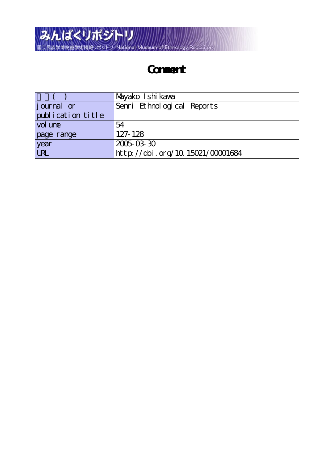

## **Comment**

|                   | Mayako Ishi kawa                 |
|-------------------|----------------------------------|
| journal or        | Senri Ethnological Reports       |
| publication title |                                  |
| vol une           | 54                               |
| page range        | 127-128                          |
| year              | 2005-03-30                       |
| <b>URL</b>        | http://doi.org/10.15021/00001684 |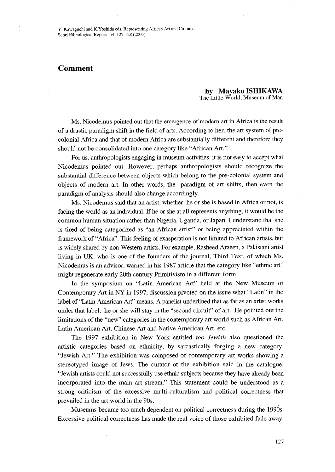## Comment

by Mayako ISHIKAWA The Little World, Museum of Man

 Ms. Nicodemus pointed out that the emergence of modern art in Africa is the result of a drastic paradigm shift in the field of arts. According to her, the art system of precolonial Africa and that of modem Africa are substantially different and therefore they should not be consolidated into one category like "African Art."

For us, anthropologists engaging in museum activities, it is not easy to accept what Nicodemus pointed out. However, perhaps anthropologists should recognize the substantial difference between objects which belong to the pre-colonial system and objects of modem art. In other words, the paradigm of art shifts, then even the paradigm of analysis should also change accordingly.

 Ms. Nicodemus said that an artist, whether he or she is based in Africa or not, is facing the world as an individual. If he or she at al1 represents anything, it would be the common human situation rather than Nigeria, Uganda, or Japan. I understand that she is tired of being categorized as "an African artist" or being appreciated within the framework of "Africa". This feeling of exasperation is not limited to African artists, but is widely shared by non-Western artists. For example, Rasheed Araeen, a Pakistani artist living in UK, who is one of the founders of the journal, Third Text, of which Ms. Nicodemus is an advisor, warned in his 1987 article that the category like "ethnic art" might regenerate early 20th century Primitivism in a different form.

 In the symposium on "Latin American Art" held at the New Museum of Contemporary Art in NY in 1997, discussion pivoted on the issue what "Latin" in the label of "Latin American Art" means. A panelist underlined that as fatr as an artist works under that label, he or she will stay in the "second circuit" of art. He pointed out the limitations of the "new" categories in the contemporary art world such as African Art, Latin American Art, Chinese Art and Native American Art, etc.

 The 1997 exhibition in New York entitled too Jewish also questioned the artistic categories based on ethnicity, by sarcastically forging a new category, "Jewish Art." The exhibition was composed of contemporary art works showing a stereotyped image of Jews. The curator of the exhibition said in the catalogue, "Jewish artists could not successfully use ethnic subjects because they have already been incorporated into the main art stream." This statement could be understood as a strong criticism of the excessive multi-culturalism and political correctness that prevailed in the art world in the 90s.

 Museums became too much dependent on political correctness during the 1990s. Excessive political correctness has made the real voice of those exhibited fade away.